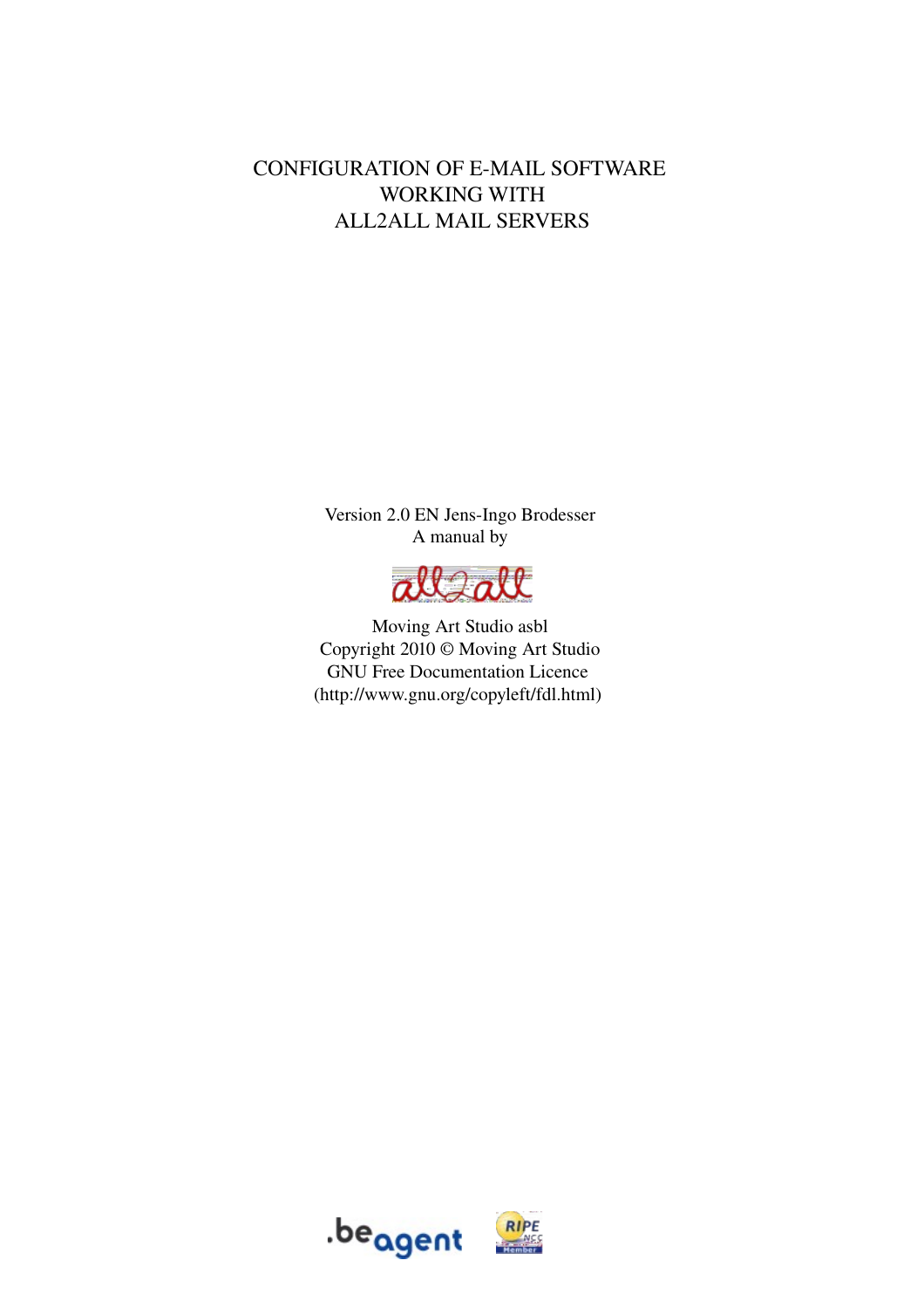#### CONFIGURATION OF E-MAIL SOFTWARE WORKING WITH ALL2ALL MAIL SERVERS

Version 2.0 EN Jens-Ingo Brodesser A manual by



Moving Art Studio asbl Copyright 2010 © Moving Art Studio GNU Free Documentation Licence (http://www.gnu.org/copyleft/fdl.html)



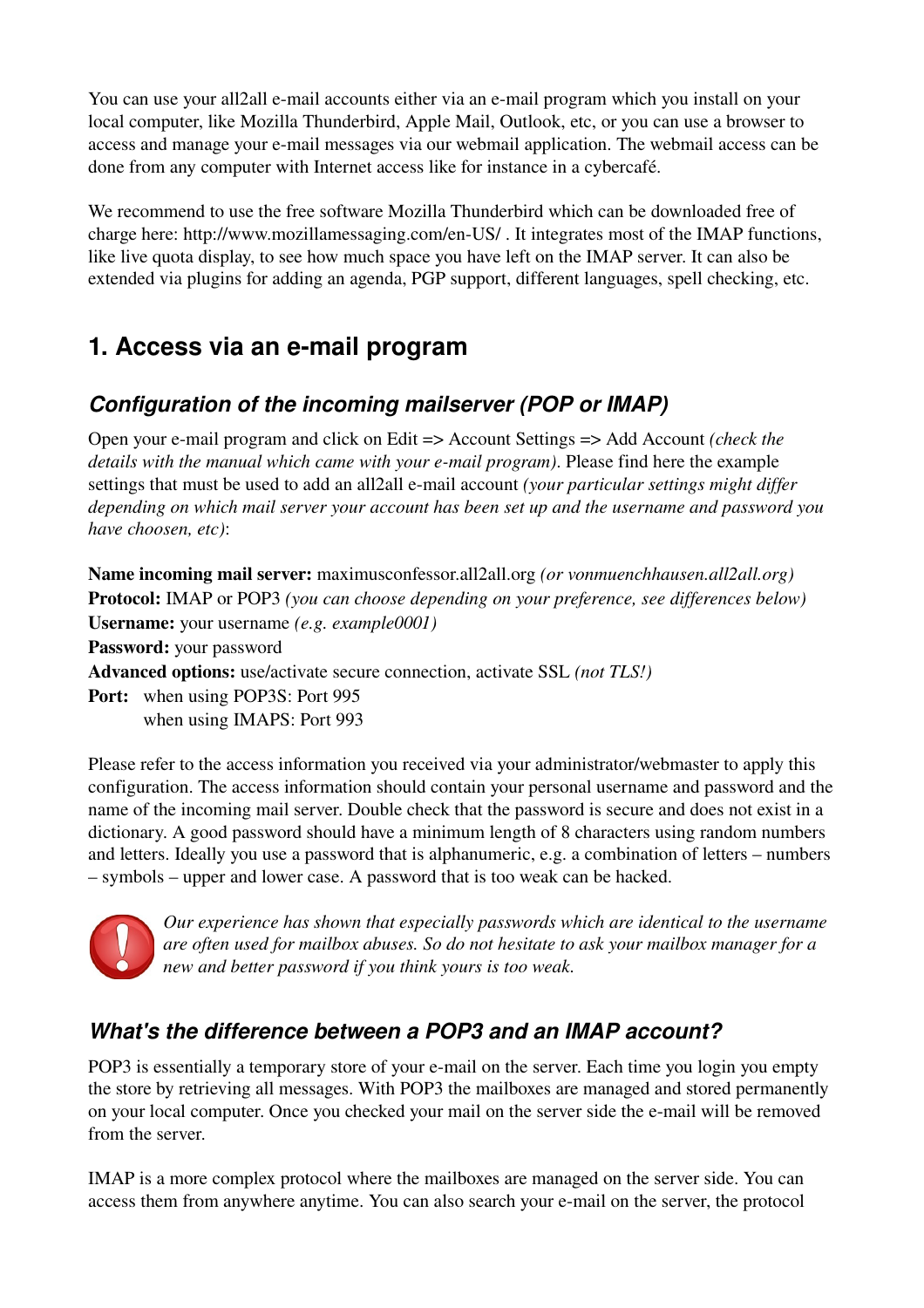You can use your all2all e-mail accounts either via an e-mail program which you install on your local computer, like Mozilla Thunderbird, Apple Mail, Outlook, etc, or you can use a browser to access and manage your e-mail messages via our webmail application. The webmail access can be done from any computer with Internet access like for instance in a cybercafé.

We recommend to use the free software Mozilla Thunderbird which can be downloaded free of charge here: http://www.mozillamessaging.com/en-US/. It integrates most of the IMAP functions, like live quota display, to see how much space you have left on the IMAP server. It can also be extended via plugins for adding an agenda, PGP support, different languages, spell checking, etc.

## **1. Access via an e-mail program**

### *Configuration of the incoming mailserver (POP or IMAP)*

Open your e-mail program and click on Edit => Account Settings => Add Account *(check the details with the manual which came with your e-mail program*). Please find here the example settings that must be used to add an all2all e-mail account *(your particular settings might differ depending on which mail server your account has been set up and the username and password you have choosen, etc)*:

Name incoming mail server: maximusconfessor.all2all.org *(or vonmuenchhausen.all2all.org)* Protocol: IMAP or POP3 *(you can choose depending on your preference, see differences below)*  Username: your username *(e.g. example0001)* 

Password: your password

Advanced options: use/activate secure connection, activate SSL *(not TLS!)*

Port: when using POP3S: Port 995 when using IMAPS: Port 993

Please refer to the access information you received via your administrator/webmaster to apply this configuration. The access information should contain your personal username and password and the name of the incoming mail server. Double check that the password is secure and does not exist in a dictionary. A good password should have a minimum length of 8 characters using random numbers and letters. Ideally you use a password that is alphanumeric, e.g. a combination of letters – numbers – symbols – upper and lower case. A password that is too weak can be hacked.



*Our experience has shown that especially passwords which are identical to the username are often used for mailbox abuses. So do not hesitate to ask your mailbox manager for a new and better password if you think yours is too weak.*

### *What's the difference between a POP3 and an IMAP account?*

POP3 is essentially a temporary store of your e-mail on the server. Each time you login you empty the store by retrieving all messages. With POP3 the mailboxes are managed and stored permanently on your local computer. Once you checked your mail on the server side the e-mail will be removed from the server.

IMAP is a more complex protocol where the mailboxes are managed on the server side. You can access them from anywhere anytime. You can also search your e-mail on the server, the protocol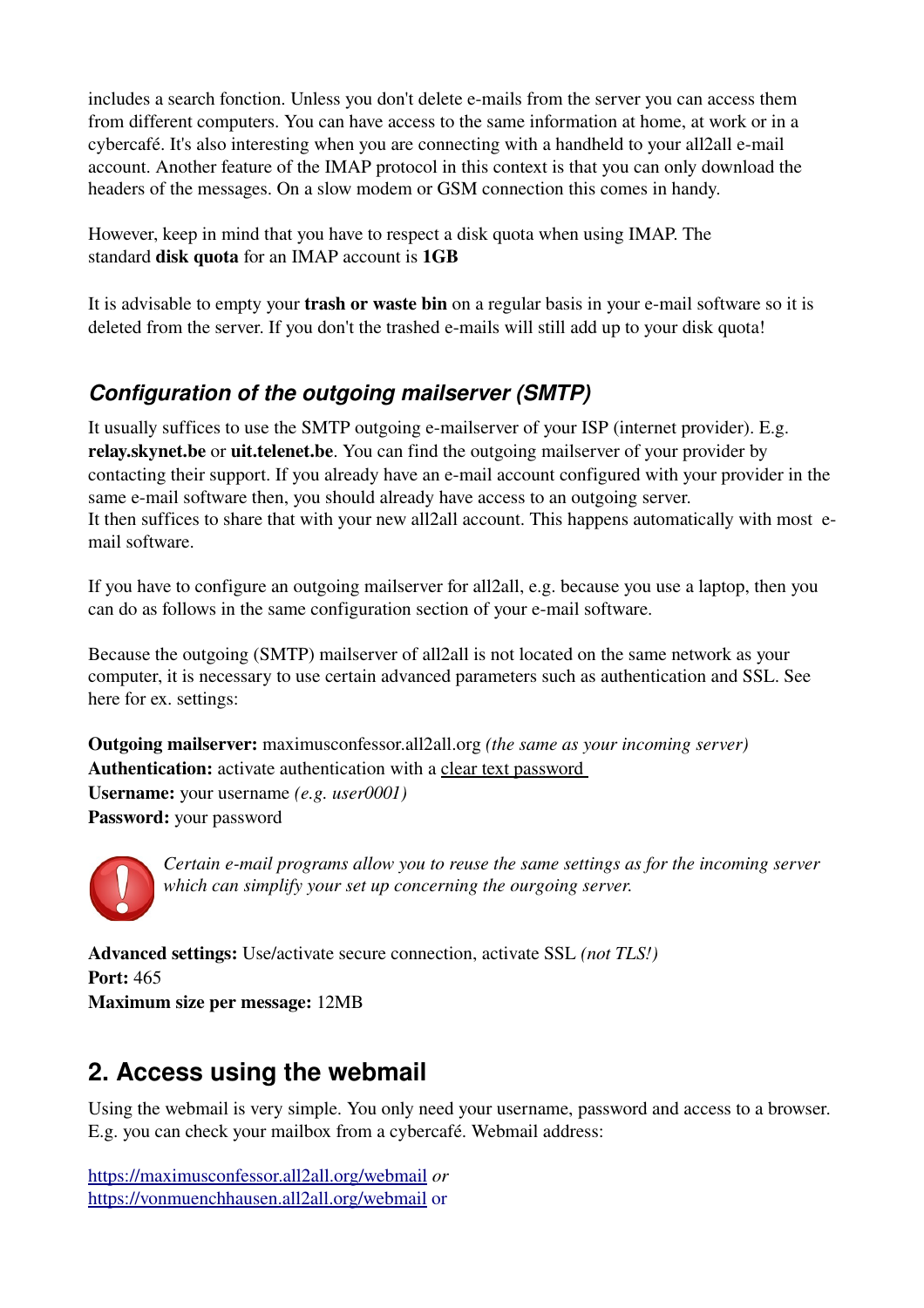includes a search fonction. Unless you don't delete e-mails from the server you can access them from different computers. You can have access to the same information at home, at work or in a cybercafé. It's also interesting when you are connecting with a handheld to your all2all e-mail account. Another feature of the IMAP protocol in this context is that you can only download the headers of the messages. On a slow modem or GSM connection this comes in handy.

However, keep in mind that you have to respect a disk quota when using IMAP. The standard disk quota for an IMAP account is 1GB

It is advisable to empty your **trash or waste bin** on a regular basis in your e-mail software so it is deleted from the server. If you don't the trashed e-mails will still add up to your disk quota!

### *Configuration of the outgoing mailserver (SMTP)*

It usually suffices to use the SMTP outgoing e-mailserver of your ISP (internet provider). E.g. relay.skynet.be or uit.telenet.be. You can find the outgoing mailserver of your provider by contacting their support. If you already have an e-mail account configured with your provider in the same e-mail software then, you should already have access to an outgoing server. It then suffices to share that with your new all2all account. This happens automatically with most email software.

If you have to configure an outgoing mailserver for all2all, e.g. because you use a laptop, then you can do as follows in the same configuration section of your e-mail software.

Because the outgoing (SMTP) mailserver of all2all is not located on the same network as your computer, it is necessary to use certain advanced parameters such as authentication and SSL. See here for ex. settings:

Outgoing mailserver: maximusconfessor.all2all.org *(the same as your incoming server)* Authentication: activate authentication with a clear text password Username: your username *(e.g. user0001)* Password: your password



*Certain email programs allow you to reuse the same settings as for the incoming server which can simplify your set up concerning the ourgoing server.*

Advanced settings: Use/activate secure connection, activate SSL *(not TLS!)* Port: 465 Maximum size per message: 12MB

# **2. Access using the webmail**

Using the webmail is very simple. You only need your username, password and access to a browser. E.g. you can check your mailbox from a cybercafé. Webmail address:

<https://maximusconfessor.all2all.org/webmail> *or* [https://vonmuenchhausen.all2all.org/webmail or](https://vonmuenchhausen.all2all.org/webmail)